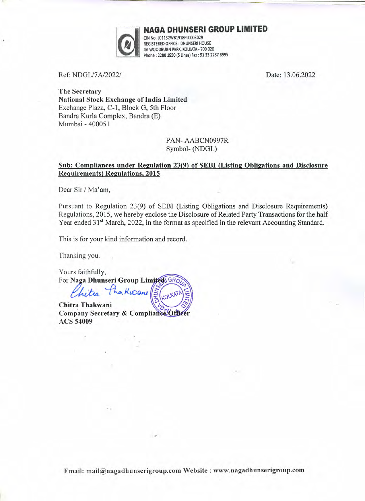

NAGA DHUNSERI GROUP LIMITED

CIN No. lOl132WB1918PlCOO3029 REGISTERED OFFICE : DHUNSERI HOUSE 4A WOODBURN PARK, KOLKATA - 700 020 Phone: 2280 1950 (5 lines) Fax: 9133 22878995

Ref: NDGL/7A/2022/ Date: 13.06.2022

The Secretary National Stock Exchange of India Limited Exchange Plaza, C-l, Block G, 5th Floor Bandra Kurla Complex, Bandra (E) Mumbai - 400051

> PAN- AABCN0997R Symbol- (NDGL)

## Sub: Compliances under Regulation 23(9) of SEBI (Listing Obligations and Disclosure Requirements) Regulations, 2015

Dear Sir / Ma'am,

Pursuant to Regulation 23(9) of SEBI (Listing Obligations and Disclosure Requirements) Regulations, 2015, we hereby enclose the Disclosure of Related Party Transactions for the half Year ended 31<sup>st</sup> March, 2022, in the format as specified in the relevant Accounting Standard.

This is for your kind information and record.

Thanking you.

Yours faithfully, For Naga Dhunseri Group Limited GRO

hitra Pha Kioani

Chitra Thakwani Company Secretary & Compliance Officer **ACS 54009** 

.•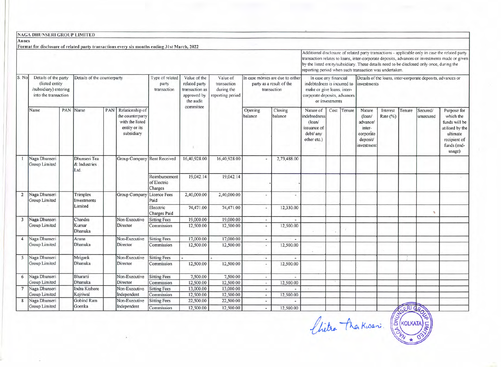|                         | NAGA DHUNSERI GROUP LIMITED                                                                                             |  |                                      |     |                                                                                              |                                                                             |                                                           |                                                                             |                                                      |                                                                                                                                      |                                                                                                                                                     |  |                                                                            |                                                                                     |                      |        |                       |                                                                                                                                                                                                  |
|-------------------------|-------------------------------------------------------------------------------------------------------------------------|--|--------------------------------------|-----|----------------------------------------------------------------------------------------------|-----------------------------------------------------------------------------|-----------------------------------------------------------|-----------------------------------------------------------------------------|------------------------------------------------------|--------------------------------------------------------------------------------------------------------------------------------------|-----------------------------------------------------------------------------------------------------------------------------------------------------|--|----------------------------------------------------------------------------|-------------------------------------------------------------------------------------|----------------------|--------|-----------------------|--------------------------------------------------------------------------------------------------------------------------------------------------------------------------------------------------|
| Annex                   |                                                                                                                         |  |                                      |     |                                                                                              |                                                                             |                                                           |                                                                             |                                                      |                                                                                                                                      |                                                                                                                                                     |  |                                                                            |                                                                                     |                      |        |                       |                                                                                                                                                                                                  |
|                         |                                                                                                                         |  |                                      |     | Format for disclosure of related party transactions every six months ending 31st March, 2022 |                                                                             |                                                           |                                                                             |                                                      |                                                                                                                                      | by the listed entity/subsidiary. These details need to be disclosed only once, during the<br>reporting period when such transaction was undertaken. |  |                                                                            |                                                                                     |                      |        |                       | Additional disclosure of related party transactions - applicable only in case the related party<br>transaction relates to loans, inter-corporate deposits, advances or investments made or given |
| S. No                   | Details of the party<br>Details of the counterparty<br>(listed entity)<br>/subsidiary) entering<br>into the transaction |  |                                      |     | Type of related<br>party<br>transaction                                                      | Value of the<br>related party<br>transaction as<br>approved by<br>the audit | Value of<br>transaction<br>during the<br>reporting period | In case monies are due to either<br>party as a result of the<br>transaction |                                                      | In case any financial<br>indebtedness is incurred to<br>make or give loans, inter-<br>corporate deposits, advances<br>or investments |                                                                                                                                                     |  | Details of the loans, inter-corporate deposits, advances or<br>investments |                                                                                     |                      |        |                       |                                                                                                                                                                                                  |
|                         | Name                                                                                                                    |  | PAN Name                             | PAN | Relationship of<br>the counterparty<br>with the listed<br>entity or its<br>subsidiary        |                                                                             | committee                                                 |                                                                             | Opening<br>balance                                   | Closing<br>balance                                                                                                                   | Nature of<br>indebtedness<br>$($ loan $/$<br>issuance of<br>debt/ any<br>other etc.)                                                                |  | Cost Tenure                                                                | Nature<br>$($ loan $/$<br>advance/<br>inter-<br>corporate<br>deposit/<br>investment | Interest<br>Rate (%) | Tenure | Secured/<br>unsecured | Purpose for<br>which the<br>funds will be<br>utilised by the<br>ultimate<br>recipient of<br>funds (end-<br>usage)                                                                                |
|                         | Naga Dhunseri<br>Group Limited                                                                                          |  | Dhunseri Tea<br>& Industries<br>Ltd. |     | Group Company Rent Received                                                                  |                                                                             | 16,40,928.00                                              | 16,40,928.00                                                                |                                                      | 2,73,488.00                                                                                                                          |                                                                                                                                                     |  |                                                                            |                                                                                     |                      |        |                       |                                                                                                                                                                                                  |
|                         |                                                                                                                         |  |                                      |     |                                                                                              | Reimbursement<br>of Electric<br>Charges                                     | 19,042.14                                                 | 19,042.14                                                                   |                                                      |                                                                                                                                      |                                                                                                                                                     |  |                                                                            |                                                                                     |                      |        |                       |                                                                                                                                                                                                  |
| $\overline{2}$          | Naga Dhunseri<br>Group Limited                                                                                          |  | Trimplex<br>Investments              |     | Group Company                                                                                | <b>Licence Fees</b><br>Paid                                                 | 2,40,000.00                                               | 2,40,000.00                                                                 | $\blacksquare$                                       | $\overline{a}$                                                                                                                       |                                                                                                                                                     |  |                                                                            |                                                                                     |                      |        |                       |                                                                                                                                                                                                  |
|                         |                                                                                                                         |  | Limited                              |     |                                                                                              | Elecctric<br><b>Charges Paid</b>                                            | 74,471.00                                                 | 74,471.00                                                                   |                                                      | 12,330.00                                                                                                                            |                                                                                                                                                     |  |                                                                            |                                                                                     |                      |        | x                     |                                                                                                                                                                                                  |
| $\overline{\mathbf{3}}$ | Naga Dhunseri<br><b>Group Limited</b>                                                                                   |  | Chandra<br>Kumar<br>Dhanuka          |     | Non-Executive<br>Director                                                                    | <b>Sitting Fees</b><br>Commission                                           | 19,000.00<br>12,500.00                                    | 19,000.00<br>12,500.00                                                      | $\overline{\phantom{a}}$                             | 12,500.00                                                                                                                            |                                                                                                                                                     |  |                                                                            |                                                                                     |                      |        |                       |                                                                                                                                                                                                  |
| $\overline{4}$          | Naga Dhunseri<br>Group Limited                                                                                          |  | Aruna<br>Dhanuka                     |     | Non-Executive<br>Director                                                                    | <b>Sitting Fees</b><br>Commission                                           | 17,000.00<br>12,500.00                                    | 17,000.00<br>12,500.00                                                      | $\overline{a}$<br>$\overline{\phantom{a}}$           | 12,500.00                                                                                                                            |                                                                                                                                                     |  |                                                                            |                                                                                     |                      |        |                       |                                                                                                                                                                                                  |
| 5                       | Naga Dhunseri<br>Group Limited                                                                                          |  | Mrigank<br>Dhanuka                   |     | Non-Executive<br>Director                                                                    | <b>Sitting Fees</b><br>Commission                                           | 12,500.00                                                 | 12,500.00                                                                   | $\overline{\phantom{a}}$                             | $\overline{\phantom{a}}$<br>12,500.00                                                                                                |                                                                                                                                                     |  |                                                                            |                                                                                     |                      |        |                       |                                                                                                                                                                                                  |
| 6                       | Naga Dhunseri<br>Group Limited                                                                                          |  | Bhararti<br>Dhanuka                  |     | Non-Executive<br>Director                                                                    | <b>Sitting Fees</b><br>Commission                                           | 7,500.00<br>12,500.00                                     | 7,500.00<br>12,500.00                                                       | $\overline{\phantom{a}}$<br>$\overline{\phantom{a}}$ | 12,500.00                                                                                                                            |                                                                                                                                                     |  |                                                                            |                                                                                     |                      |        |                       |                                                                                                                                                                                                  |
| 7                       | Naga Dhunseri<br>Group Limited                                                                                          |  | Indra Kishore<br>Kejriwal            |     | Non-Executive<br>Independent                                                                 | <b>Sitting Fees</b><br>Commission                                           | 13,000.00<br>12,500.00                                    | 13,000.00<br>12,500.00                                                      | $\overline{\phantom{a}}$<br>$\tilde{\phantom{a}}$    | $\overline{\phantom{a}}$<br>12,500.00                                                                                                |                                                                                                                                                     |  |                                                                            |                                                                                     |                      |        |                       |                                                                                                                                                                                                  |
| 8                       | Naga Dhunseri<br>Group Limited                                                                                          |  | Gobind Ram<br>Goenka                 |     | Non-Executive<br>Independent                                                                 | <b>Sitting Fees</b><br>Commission                                           | 22,500.00<br>12,500.00                                    | 22,500.00<br>12,500.00                                                      | $\blacksquare$<br>$\sim$                             | ÷<br>12,500.00                                                                                                                       |                                                                                                                                                     |  |                                                                            |                                                                                     |                      | CERICA |                       |                                                                                                                                                                                                  |

*(litre* The Kwan: (EKIDATA)